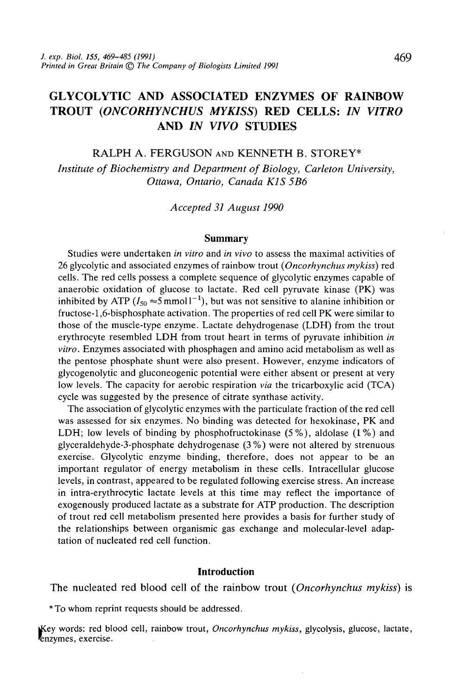# GLYCOLYTIC AND ASSOCIATED ENZYMES OF RAINBOW TROUT *(ONCORHYNCHUS MYKISS)* RED CELLS: *IN VITRO* AND *IN VIVO* STUDIES

RALPH A. FERGUSON AND KENNETH B. STOREY\*

*Institute of Biochemistry and Department of Biology, Carleton University, Ottawa, Ontario, Canada K1S 5B6*

*Accepted 31 August 1990*

#### **Summary**

Studies were undertaken *in vitro* and *in vivo* to assess the maximal activities of 26 glycolytic and associated enzymes of rainbow trout *(Oncorhynchus mykiss)* red cells. The red cells possess a complete sequence of glycolytic enzymes capable of anaerobic oxidation of glucose to lactate. Red cell pyruvate kinase (PK) was inhibited by ATP ( $I_{50} \approx 5$  mmoll<sup>-1</sup>), but was not sensitive to alanine inhibition or fructose-1,6-bisphosphate activation. The properties of red cell PK were similar to those of the muscle-type enzyme. Lactate dehydrogenase (LDH) from the trout erythrocyte resembled LDH from trout heart in terms of pyruvate inhibition *in vitro.* Enzymes associated with phosphagen and amino acid metabolism as well as the pentose phosphate shunt were also present. However, enzyme indicators of glycogenolytic and gluconeogenic potential were either absent or present at very low levels. The capacity for aerobic respiration *via* the tricarboxylic acid (TCA) cycle was suggested by the presence of citrate synthase activity.

The association of glycolytic enzymes with the particulate fraction of the red cell was assessed for six enzymes. No binding was detected for hexokinase, PK and LDH; low levels of binding by phosphofructokinase (5%), aldolase (1%) and glyceraldehyde-3-phosphate dehydrogenase (3%) were not altered by strenuous exercise. Glycolytic enzyme binding, therefore, does not appear to be an important regulator of energy metabolism in these cells. Intracellular glucose levels, in contrast, appeared to be regulated following exercise stress. An increase in intra-erythrocytic lactate levels at this time may reflect the importance of exogenously produced lactate as a substrate for ATP production. The description of trout red cell metabolism presented here provides a basis for further study of the relationships between organismic gas exchange and molecular-level adaptation of nucleated red cell function.

### **Introduction**

The nucleated red blood cell of the rainbow trout *{Oncorhynchus mykiss)* is

\*To whom reprint requests should be addressed.

jKey words: red blood cell, rainbow trout, *Oncorhynchus mykiss,* glycolysis, glucose, lactate, Enzymes, exercise.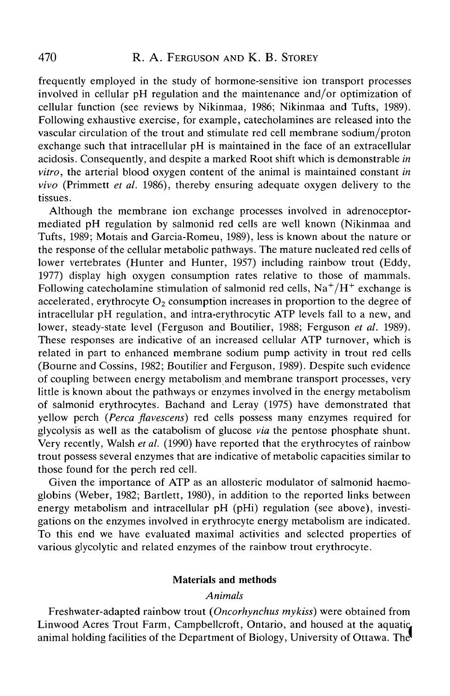frequently employed in the study of hormone-sensitive ion transport processes involved in cellular pH regulation and the maintenance and/or optimization of cellular function (see reviews by Nikinmaa, 1986; Nikinmaa and Tufts, 1989). Following exhaustive exercise, for example, catecholamines are released into the vascular circulation of the trout and stimulate red cell membrane sodium/proton exchange such that intracellular pH is maintained in the face of an extracellular acidosis. Consequently, and despite a marked Root shift which is demonstrable *in vitro,* the arterial blood oxygen content of the animal is maintained constant *in vivo* (Primmett *et al.* 1986), thereby ensuring adequate oxygen delivery to the tissues.

Although the membrane ion exchange processes involved in adrenoceptormediated pH regulation by salmonid red cells are well known (Nikinmaa and Tufts, 1989; Motais and Garcia-Romeu, 1989), less is known about the nature or the response of the cellular metabolic pathways. The mature nucleated red cells of lower vertebrates (Hunter and Hunter, 1957) including rainbow trout (Eddy, 1977) display high oxygen consumption rates relative to those of mammals. Following catecholamine stimulation of salmonid red cells,  $\mathrm{Na^+}/\mathrm{H^+}$  exchange is accelerated, erythrocyte  $O_2$  consumption increases in proportion to the degree of intracellular pH regulation, and intra-erythrocytic ATP levels fall to a new, and lower, steady-state level (Ferguson and Boutilier, 1988; Ferguson *et al.* 1989). These responses are indicative of an increased cellular ATP turnover, which is related in part to enhanced membrane sodium pump activity in trout red cells (Bourne and Cossins, 1982; Boutilier and Ferguson, 1989). Despite such evidence of coupling between energy metabolism and membrane transport processes, very little is known about the pathways or enzymes involved in the energy metabolism of salmonid erythrocytes. Bachand and Leray (1975) have demonstrated that yellow perch *{Perca flavescens)* red cells possess many enzymes required for glycolysis as well as the catabolism of glucose *via* the pentose phosphate shunt. Very recently, Walsh *et al.* (1990) have reported that the erythrocytes of rainbow trout possess several enzymes that are indicative of metabolic capacities similar to those found for the perch red cell.

Given the importance of ATP as an allosteric modulator of salmonid haemoglobins (Weber, 1982; Bartlett, 1980), in addition to the reported links between energy metabolism and intracellular pH (pHi) regulation (see above), investigations on the enzymes involved in erythrocyte energy metabolism are indicated. To this end we have evaluated maximal activities and selected properties of various glycolytic and related enzymes of the rainbow trout erythrocyte.

### Materials and methods

### *Animals*

Freshwater-adapted rainbow trout *(Oncorhynchus mykiss)* were obtained from Linwood Acres Trout Farm, Campbellcroft, Ontario, and housed at the aquatic animal holding facilities of the Department of Biology, University of Ottawa. The"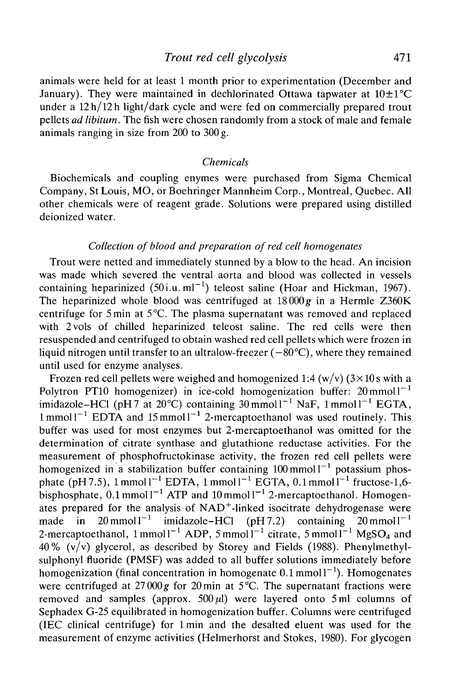### *Trout red cell glycolysis* 471

animals were held for at least 1 month prior to experimentation (December and January). They were maintained in dechlorinated Ottawa tapwater at  $10\pm1\textdegree C$ under a 12h/l2h light/dark cycle and were fed on commercially prepared trout pellets *ad libitum.* The fish were chosen randomly from a stock of male and female animals ranging in size from 200 to 300 g.

#### *Chemicals*

Biochemicals and coupling enymes were purchased from Sigma Chemical Company, St Louis, MO, or Boehringer Mannheim Corp., Montreal, Quebec. All other chemicals were of reagent grade. Solutions were prepared using distilled deionized water.

### *Collection of blood and preparation of red cell homogenates*

Trout were netted and immediately stunned by a blow to the head. An incision was made which severed the ventral aorta and blood was collected in vessels containing heparinized  $(50$ i.u.ml<sup>-1</sup>) teleost saline (Hoar and Hickman, 1967). The heparinized whole blood was centrifuged at  $18000g$  in a Hermle Z360K centrifuge for 5min at 5°C. The plasma supernatant was removed and replaced with 2vols of chilled heparinized teleost saline. The red cells were then resuspended and centrifuged to obtain washed red cell pellets which were frozen in liquid nitrogen until transfer to an ultralow-freezer  $(-80^{\circ}C)$ , where they remained until used for enzyme analyses.

Frozen red cell pellets were weighed and homogenized 1:4 (w/v)  $(3 \times 10 s \text{ with a})$ Polytron PT10 homogenizer) in ice-cold homogenization buffer:  $20 \text{ mmol}1^{-1}$ imidazole–HCl (pH7 at 20 $^{\circ}$ C) containing 30 mmol1<sup>-1</sup> NaF, 1 mmol1<sup>-1</sup> EGTA,  $1$  mmol  $1^{-1}$  EDTA and  $15$  mmol  $1^{-1}$  2-mercaptoethanol was used routinely. This buffer was used for most enzymes but 2-mercaptoethanol was omitted for the determination of citrate synthase and glutathione reductase activities. For the measurement of phosphofructokinase activity, the frozen red cell pellets were homogenized in a stabilization buffer containing  $100 \text{ mmol}1^{-1}$  potassium phosphate (pH7.5), 1 mmol  $I^{-1}$  EDTA, 1 mmol  $I^{-1}$  EGTA, 0.1 mmol  $I^{-1}$  fructose-1,6bisphosphate,  $0.1$  mmol  $I^{-1}$  ATP and  $10$  mmol  $I^{-1}$  2-mercaptoethanol. Homogenates prepared for the analysis of NAD<sup>+</sup>-linked isocitrate dehydrogenase were made in  $20 \text{ mmol l}^{-1}$  imidazole-HCl (pH7.2) containing  $20 \text{ mmol l}^{-1}$ 2-mercaptoethanol,  $1$ mmol $1^{-1}$  ADP,  $5$ mmol $1^{-1}$  citrate,  $5$ mmol $1^{-1}$  MgSO<sub>4</sub> and 40%  $(v/v)$  glycerol, as described by Storey and Fields (1988). Phenylmethylsulphonyl fluoride (PMSF) was added to all buffer solutions immediately before homogenization (final concentration in homogenate  $0.1$  mmol  $I^{-1}$ ). Homogenates were centrifuged at  $27000 g$  for  $20 \text{ min}$  at  $5^{\circ}$ C. The supernatant fractions were removed and samples (approx.  $500 \mu l$ ) were layered onto 5 ml columns of Sephadex G-25 equilibrated in homogenization buffer. Columns were centrifuged (IEC clinical centrifuge) for lmin and the desalted eluent was used for the measurement of enzyme activities (Helmerhorst and Stokes, 1980). For glycogen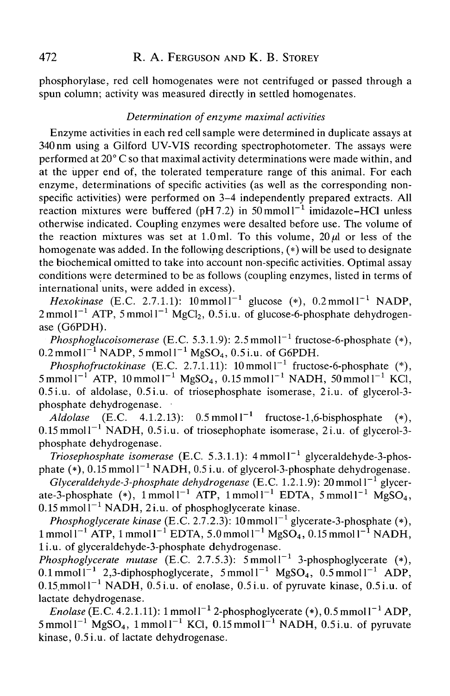phosphorylase, red cell homogenates were not centrifuged or passed through a spun column; activity was measured directly in settled homogenates.

### *Determination of enzyme maximal activities*

Enzyme activities in each red cell sample were determined in duplicate assays at 340 nm using a Gilford UV-VIS recording spectrophotometer. The assays were performed at 20° C so that maximal activity determinations were made within, and at the upper end of, the tolerated temperature range of this animal. For each enzyme, determinations of specific activities (as well as the corresponding nonspecific activities) were performed on 3-4 independently prepared extracts. All reaction mixtures were buffered (pH7.2) in  $50 \text{ mmol}1^{-1}$  imidazole–HCl unless otherwise indicated. Coupling enzymes were desalted before use. The volume of the reaction mixtures was set at 1.0 ml. To this volume,  $20 \mu l$  or less of the homogenate was added. In the following descriptions, (\*) will be used to designate the biochemical omitted to take into account non-specific activities. Optimal assay conditions were determined to be as follows (coupling enzymes, listed in terms of international units, were added in excess).

*Hexokinase* (E.C. 2.7.1.1):  $10 \text{ mmol}1^{-1}$  glucose (\*),  $0.2 \text{ mmol}1^{-1}$  NADP,  $2 \text{ mmol1}^{-1}$  ATP,  $5 \text{ mmol1}^{-1}$  MgCl<sub>2</sub>,  $0.5$ i.u. of glucose-6-phosphate dehydrogenase (G6PDH).

Phosphoglucoisomerase (E.C. 5.3.1.9): 2.5 mmol<sup>1-1</sup> fructose-6-phosphate (\*),  $0.2\,\mathrm{mmol}\,\mathrm{l}^{-1}$  NADP, 5 mmol $\mathrm{l}^{-1}$  MgSO<sub>4</sub>,  $0.5$ i.u. of G6PDH.

*Phosphofructokinase* (E.C. 2.7.1.11):  $10 \text{ mmol}^{-1}$  fructose-6-phosphate (\*),  $5 \text{ mmol1}^{-1}$  ATP,  $10 \text{ mmol1}^{-1}$  MgSO<sub>4</sub>,  $0.15 \text{ mmol1}^{-1}$  NADH,  $50 \text{ mmol1}^{-1}$  KCl, 0.5 i.u. of aldolase, 0.5 i.u. of triosephosphate isomerase, 2i.u. of glycerol-3 phosphate dehydrogenase.

 $A$ ldolase (E.C. 4.1.2.13):  $0.5 \text{ mmol} 1^{-1}$  fructose-1,6-bisphosphate (\*),  $0.15$  mmoll<sup>-1</sup> NADH,  $0.5$  i.u. of triosephophate isomerase, 2 i.u. of glycerol-3phosphate dehydrogenase.

*Triosephosphate isomerase* (E.C. 5.3.1.1): 4mmoll~<sup>1</sup> glyceraldehyde-3-phosphate  $(*)$ , 0.15 mmol  $1^{-1}$  NADH, 0.5 i.u. of glycerol-3-phosphate dehydrogenase.

Glyceraldehyde-3-phosphate dehydrogenase (E.C. 1.2.1.9): 20 mmol l<sup>-1</sup> glycerate-3-phosphate (\*), 1 mmol1<sup>-1</sup> ATP, 1 mmol1<sup>-1</sup> EDTA, 5 mmol1<sup>-1</sup> MgSO<sub>4</sub>,  $0.15$  mmol $1^{-1}$  NADH, 2i.u. of phosphoglycerate kinase.

Phosphoglycerate kinase (E.C. 2.7.2.3): 10 mmol<sup>-1</sup> glycerate-3-phosphate (\*),  $1$  mmol l<sup>-1</sup> ATP, 1 mmol l<sup>-1</sup> EDTA, 5.0 mmol l<sup>-1</sup> MgSO<sub>4</sub>, 0.15 mmol l<sup>-1</sup> NADH, li.u. of glyceraldehyde-3-phosphate dehydrogenase.

Phosphoglycerate mutase (E.C. 2.7.5.3): 5 mmol<sup>-1</sup> 3-phosphoglycerate (\*), 0.1 mmol  $1^{-1}$  2,3-diphosphoglycerate, 5 mmol  $1^{-1}$  MgSO<sub>4</sub>, 0.5 mmol  $1^{-1}$  ADP,  $0.15$ mmoll<sup>-1</sup> NADH,  $0.5$ i.u. of enolase,  $0.5$ i.u. of pyruvate kinase,  $0.5$ i.u. of lactate dehydrogenase.

*Enolase* (E.C. 4.2.1.11):  $1 \text{mmol}^{-1}$  2-phosphoglycerate (\*),  $0.5 \text{mmol}^{-1}$  ADP,  $5$ mmol $1^{-1}$  MgSO<sub>4</sub>, 1 mmol $1^{-1}$  KCl, 0.15 mmol $1^{-1}$  NADH, 0.5i.u. of pyruvate kinase, 0.5 i.u. of lactate dehydrogenase.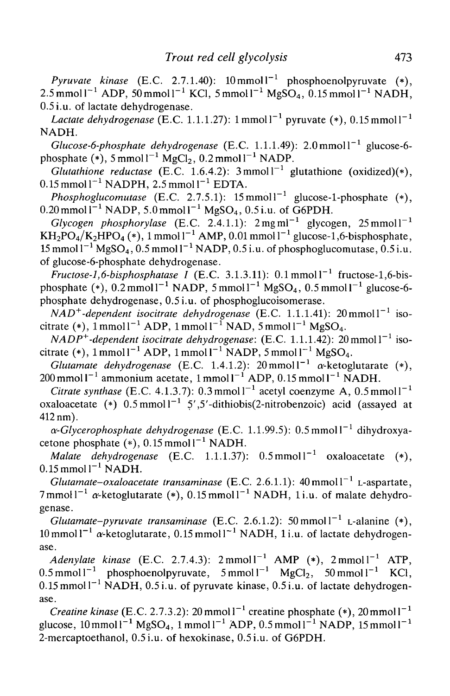*Pyruvate kinase* (E.C. 2.7.1.40):  $10 \text{ mmol}^{-1}$  phosphoenolpyruvate (\*), 2.5 mmol l $^{-1}$  ADP, 50 mmol l $^{-1}$  KCl, 5 mmol l $^{-1}$  MgSO<sub>4</sub>, 0.15 mmol l $^{-1}$  NADH, 0.5 i.u. of lactate dehydrogenase.

*Lactate dehydrogenase* (E.C. 1.1.1.27):  $1$  mmol  $1^{-1}$  pyruvate (\*),  $0.15$  mmol  $1^{-1}$ NADH.

 $Glucose-6-phosphate$  dehydrogenase (E.C. 1.1.1.49):  $2.0 \text{mmol}^{-1}$  glucose-6phosphate  $(*)$ , 5 mmoll<sup>-1</sup> MgCl<sub>2</sub>, 0.2 mmoll<sup>-1</sup> NADP.

*Glutathione reductase* (E.C. 1.6.4.2):  $3 \text{mmol}^{-1}$  glutathione (oxidized)(\*),  $0.15$  mmol  $l^{-1}$  NADPH, 2.5 mmol  $l^{-1}$  EDTA.

*Phosphoglucomutase* (E.C. 2.7.5.1):  $15$  mmol  $1^{-1}$  glucose-1-phosphate (\*),  $0.20$  mmol $1^{-1}$  NADP, 5.0 mmol $1^{-1}$  MgSO<sub>4</sub>, 0.5 i.u. of G6PDH.

 $Glycogen-phosphorylase$  (E.C. 2.4.1.1):  $2mgml^{-1}$  glycogen,  $25$ mmoll<sup>-1</sup>  $\rm{KH_2PO_4/K_2HPO_4}$  (\*), 1 mmol l $^{-1}$  AMP, 0.01 mmol l $^{-1}$  glucose-1,6-bisphosphate,  $15$  mmol l $^{-1}$  MgSO<sub>4</sub>,  $0.5$  mmol l $^{-1}$  NADP,  $0.5$  i.u. of phosphoglucomutase,  $0.5$  i.u. of glucose-6-phosphate dehydrogenase.

 $Fructose-1, 6-bisphosphate se I (E.C. 3.1.3.11): 0.1 mmol l<sup>-1</sup> fructose-1, 6-bis$ phosphate (\*), 0.2 mmoll<sup>-1</sup> NADP, 5 mmoll<sup>-1</sup> MgSO<sub>4</sub>, 0.5 mmoll<sup>-1</sup> glucose-6phosphate dehydrogenase, 0.5 i.u. of phosphoglucoisomerase.

*NAD*<sup>+</sup>-dependent isocitrate dehydrogenase (E.C. 1.1.1.41): 20 mmol1<sup>-1</sup> isocitrate (\*), 1 mmol $l^{-1}$  ADP, 1 mmol $l^{-1}$  NAD, 5 mmol $l^{-1}$  MgSO<sub>4</sub>.

*NADP*<sup>+</sup>-dependent isocitrate dehydrogenase: (E.C. 1.1.1.42): 20 mmol l<sup>-1</sup> isocitrate (\*), 1 mmol1<sup>-1</sup> ADP, 1 mmol1<sup>-1</sup> NADP, 5 mmol1<sup>-1</sup> MgSO<sub>4</sub>.

*Glutamate dehydrogenase* (E.C. 1.4.1.2):  $20 \text{ mmol} 1^{-1}$   $\alpha$ -ketoglutarate  $(*)$ ,  $200 \text{ mmol1}^{-1}$  ammonium acetate, 1 mmol1<sup>-1</sup> ADP, 0.15 mmol1<sup>-1</sup> NADH.

*Citrate synthase* (E.C. 4.1.3.7):  $0.3 \text{mmol}1^{-1}$  acetyl coenzyme A,  $0.5 \text{mmol}1^{-1}$ oxaloacetate (\*)  $0.5 \text{mmol}^{-1}$  5',5'-dithiobis(2-nitrobenzoic) acid (assayed at 412 nm).

a-*Glycerophosphate dehydrogenase* (E.C. 1.1.99.5): 0.5mmol1<sup>-1</sup> dihydroxyacetone phosphate  $(*)$ , 0.15 mmol  $I^{-1}$  NADH.

Malate dehydrogenase (E.C. 1.1.1.37):  $0.5 \text{mmol}^{-1}$  oxaloacetate (\*),  $0.15$  mmol  $l^{-1}$  NADH.

 $G$ lutamate–oxaloacetate transaminase (E.C. 2.6.1.1):  $40$  mmol l<sup>-1</sup> L-aspartate, 7 mmol  $1^{-1}$  a-ketoglutarate (\*), 0.15 mmol  $1^{-1}$  NADH, 1i.u. of malate dehydrogenase.

*Glutamate–pyruvate transaminase* (E.C. 2.6.1.2): 50 mmol  $1^{-1}$  L-alanine  $(*)$ ,  $10$ mmol $1^{-1}$   $\alpha$ -ketoglutarate, 0.15 mmol $1^{-1}$  NADH, 1 i.u. of lactate dehydrogenase.

*Adenylate kinase* (E.C. 2.7.4.3):  $2 \text{mmol}^{-1}$  AMP (\*),  $2 \text{mmol}^{-1}$  ATP, 0.5 mmol  $I^{-1}$  phosphoenolpyruvate, 5 mmol  $I^{-1}$  MgCl<sub>2</sub>, 50 mmol  $I^{-1}$  KCl,  $0.15$  mmol  $I^{-1}$  NADH,  $0.5$ i.u. of pyruvate kinase,  $0.5$ i.u. of lactate dehydrogenase.

*Creatine kinase* (E.C. 2.7.3.2): 20 mmol  $I^{-1}$  creatine phosphate (\*), 20 mmol  $I^{-1}$ glucose,  $10 \text{ mmol } 1^{-1} \text{ MgSO}_4$ ,  $1 \text{ mmol } 1^{-1} \text{ ADP}$ ,  $0.5 \text{ mmol } 1^{-1} \text{ NADP}$ ,  $15 \text{ mmol } 1^{-1}$ 2-mercaptoethanol, 0.5 i.u. of hexokinase, 0.5 i.u. of G6PDH.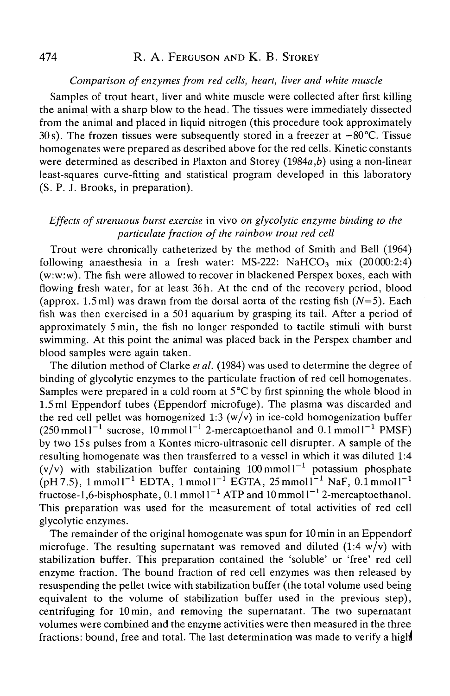### *Comparison of enzymes from red cells, heart, liver and white muscle*

Samples of trout heart, liver and white muscle were collected after first killing the animal with a sharp blow to the head. The tissues were immediately dissected from the animal and placed in liquid nitrogen (this procedure took approximately 30s). The frozen tissues were subsequently stored in a freezer at  $-80^{\circ}$ C. Tissue homogenates were prepared as described above for the red cells. Kinetic constants were determined as described in Plaxton and Storey (1984a,*b)* using a non-linear least-squares curve-fitting and statistical program developed in this laboratory (S. P. J. Brooks, in preparation).

# *Effects of strenuous burst exercise* in vivo *on glycolytic enzyme binding to the paniculate fraction of the rainbow trout red cell*

Trout were chronically catheterized by the method of Smith and Bell (1964) following anaesthesia in a fresh water: MS-222: NaHCO<sub>3</sub> mix (20000:2:4) (w:w:w). The fish were allowed to recover in blackened Perspex boxes, each with flowing fresh water, for at least 36h. At the end of the recovery period, blood (approx. 1.5 ml) was drawn from the dorsal aorta of the resting fish *(N=5).* Each fish was then exercised in a 501 aquarium by grasping its tail. After a period of approximately 5min, the fish no longer responded to tactile stimuli with burst swimming. At this point the animal was placed back in the Perspex chamber and blood samples were again taken.

The dilution method of Clarke *et al.* (1984) was used to determine the degree of binding of glycolytic enzymes to the particulate fraction of red cell homogenates. Samples were prepared in a cold room at 5°C by first spinning the whole blood in 1.5 ml Eppendorf tubes (Eppendorf microfuge). The plasma was discarded and the red cell pellet was homogenized 1:3  $(w/v)$  in ice-cold homogenization buffer  $(250 \text{ mmol1}^{-1} \text{ sucrose}, 10 \text{ mmol1}^{-1} \text{ 2-mercaptoethanol and } 0.1 \text{ mmol1}^{-1} \text{ PMSF})$ by two 15 s pulses from a Kontes micro-ultrasonic cell disrupter. A sample of the resulting homogenate was then transferred to a vessel in which it was diluted 1:4  $(v/v)$  with stabilization buffer containing 100 mmoll<sup>-1</sup> potassium phosphate  $\rm (pH7.5)$ , 1 mmol<sup>-1</sup> EDTA, 1 mmol<sup>-1</sup> EGTA, 25 mmol<sup>-1</sup> NaF, 0.1 mmol<sup>-1</sup> fructose-1.6-bisphosphate,  $0.1$  mmol  $1^{-1}$  ATP and  $10$  mmol  $1^{-1}$  2-mercaptoethanol. This preparation was used for the measurement of total activities of red cell glycolytic enzymes.

The remainder of the original homogenate was spun for 10 min in an Eppendorf microfuge. The resulting supernatant was removed and diluted  $(1.4 \text{ w/v})$  with stabilization buffer. This preparation contained the 'soluble' or 'free' red cell enzyme fraction. The bound fraction of red cell enzymes was then released by resuspending the pellet twice with stabilization buffer (the total volume used being equivalent to the volume of stabilization buffer used in the previous step), centrifuging for 10 min, and removing the supernatant. The two supernatant volumes were combined and the enzyme activities were then measured in the three fractions: bound, free and total. The last determination was made to verify a high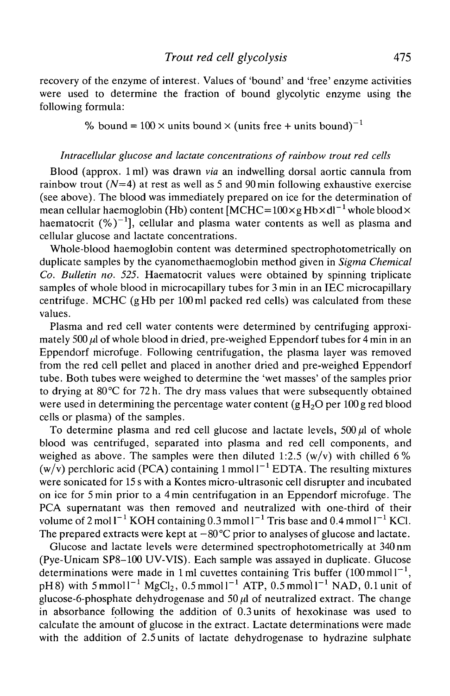recovery of the enzyme of interest. Values of 'bound' and 'free' enzyme activities were used to determine the fraction of bound glycolytic enzyme using the following formula:

% bound =  $100 \times$  units bound  $\times$  (units free + units bound)<sup>-1</sup>

### *Intracellular glucose and lactate concentrations of rainbow trout red cells*

Blood (approx. 1 ml) was drawn *via* an indwelling dorsal aortic cannula from rainbow trout ( $N=4$ ) at rest as well as 5 and 90 min following exhaustive exercise (see above). The blood was immediately prepared on ice for the determination of mean cellular haemoglobin (Hb) content [MCHC=100×g Hb×dl<sup>−1</sup> whole blood× haematocrit  $(\%)^{-1}$ ], cellular and plasma water contents as well as plasma and cellular glucose and lactate concentrations.

Whole-blood haemoglobin content was determined spectrophotometrically on duplicate samples by the cyanomethaemoglobin method given in *Sigma Chemical Co. Bulletin no. 525.* Haematocrit values were obtained by spinning triplicate samples of whole blood in microcapillary tubes for 3 min in an IEC microcapillary centrifuge. MCHC (gHb per 100 ml packed red cells) was calculated from these values.

Plasma and red cell water contents were determined by centrifuging approximately  $500 \mu l$  of whole blood in dried, pre-weighed Eppendorf tubes for 4 min in an Eppendorf microfuge. Following centrifugation, the plasma layer was removed from the red cell pellet and placed in another dried and pre-weighed Eppendorf tube. Both tubes were weighed to determine the 'wet masses' of the samples prior to drying at 80°C for 72 h. The dry mass values that were subsequently obtained were used in determining the percentage water content (gH<sub>2</sub>O per 100 g red blood cells or plasma) of the samples.

To determine plasma and red cell glucose and lactate levels,  $500 \mu l$  of whole blood was centrifuged, separated into plasma and red cell components, and weighed as above. The samples were then diluted 1:2.5 (w/v) with chilled 6% (w/v) perchloric acid (PCA) containing 1 mmol  $I^{-1}$  EDTA. The resulting mixtures were sonicated for 15 s with a Kontes micro-ultrasonic cell disrupter and incubated on ice for 5 min prior to a 4min centrifugation in an Eppendorf microfuge. The PCA supernatant was then removed and neutralized with one-third of their volume of 2 mol  $I^{-1}$  KOH containing 0.3 mmol  $I^{-1}$  Tris base and 0.4 mmol  $I^{-1}$  KCl. The prepared extracts were kept at  $-80^{\circ}$ C prior to analyses of glucose and lactate.

Glucose and lactate levels were determined spectrophotometrically at 340 nm (Pye-Unicam SP8-100 UV-VIS). Each sample was assayed in duplicate. Glucose determinations were made in 1 ml cuvettes containing Tris buffer (100 mmol $1^{-1}$ , pH8) with 5 mmol  $l^{-1}$  MgCl<sub>2</sub>, 0.5 mmol  $l^{-1}$  ATP, 0.5 mmol  $l^{-1}$  NAD, 0.1 unit of glucose-6-phosphate dehydrogenase and  $50 \mu$  of neutralized extract. The change in absorbance following the addition of 0.3 units of hexokinase was used to calculate the amount of glucose in the extract. Lactate determinations were made with the addition of 2.5 units of lactate dehydrogenase to hydrazine sulphate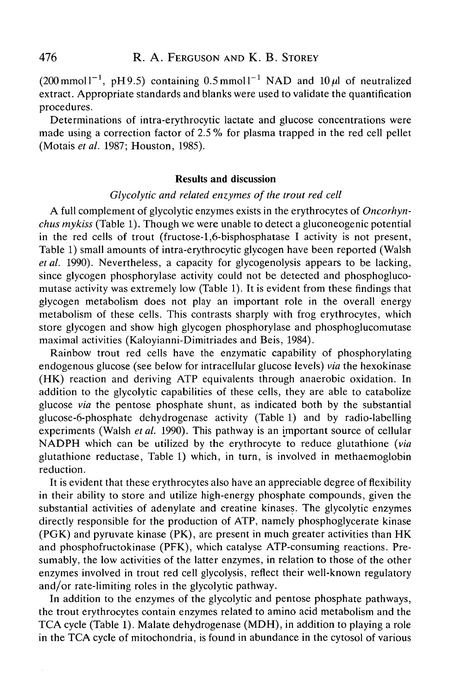(200 mmol  $I^{-1}$ , pH9.5) containing 0.5 mmol  $I^{-1}$  NAD and 10 $\mu$ l of neutralized extract. Appropriate standards and blanks were used to validate the quantification procedures.

Determinations of intra-erythrocytic lactate and glucose concentrations were made using a correction factor of 2.5 *%* for plasma trapped in the red cell pellet (Motais *etal.* 1987; Houston, 1985).

#### **Results and discussion**

### *Glycolytic and related enzymes of the trout red cell*

A full complement of glycolytic enzymes exists in the erythrocytes of *Oncorhynchus my kiss* (Table 1). Though we were unable to detect a gluconeogenic potential in the red cells of trout (fructose-l,6-bisphosphatase I activity is not present, Table 1) small amounts of intra-erythrocytic glycogen have been reported (Walsh *etal.* 1990). Nevertheless, a capacity for glycogenolysis appears to be lacking, since glycogen phosphorylase activity could not be detected and phosphoglucomutase activity was extremely low (Table 1). It is evident from these findings that glycogen metabolism does not play an important role in the overall energy metabolism of these cells. This contrasts sharply with frog erythrocytes, which store glycogen and show high glycogen phosphorylase and phosphoglucomutase maximal activities (Kaloyianni-Dimitriades and Beis, 1984).

Rainbow trout red cells have the enzymatic capability of phosphorylating endogenous glucose (see below for intracellular glucose levels) *via* the hexokinase (HK) reaction and deriving ATP equivalents through anaerobic oxidation. In addition to the glycolytic capabilities of these cells, they are able to catabolize glucose *via* the pentose phosphate shunt, as indicated both by the substantial glucose-6-phosphate dehydrogenase activity (Table 1) and by radio-labelling experiments (Walsh *etal.* 1990). This pathway is an important source of cellular NADPH which can be utilized by the erythrocyte to reduce glutathione *(via* glutathione reductase, Table 1) which, in turn, is involved in methaemoglobin reduction.

It is evident that these erythrocytes also have an appreciable degree of flexibility in their ability to store and utilize high-energy phosphate compounds, given the substantial activities of adenylate and creatine kinases. The glycolytic enzymes directly responsible for the production of ATP, namely phosphoglycerate kinase (PGK) and pyruvate kinase (PK), are present in much greater activities than HK and phosphofructokinase (PFK), which catalyse ATP-consuming reactions. Presumably, the low activities of the latter enzymes, in relation to those of the other enzymes involved in trout red cell glycolysis, reflect their well-known regulatory and/or rate-limiting roles in the glycolytic pathway.

In addition to the enzymes of the glycolytic and pentose phosphate pathways, the trout erythrocytes contain enzymes related to amino acid metabolism and the TCA cycle (Table 1). Malate dehydrogenase (MDH), in addition to playing a role in the TCA cycle of mitochondria, is found in abundance in the cytosol of various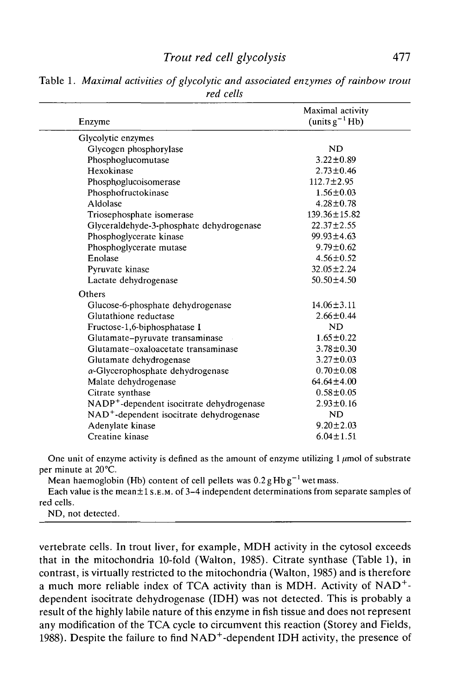# *Trout red cell glycolysis* 477

| Enzyme                                                | Maximal activity<br>(units $g^{-1}$ Hb) |
|-------------------------------------------------------|-----------------------------------------|
| Glycolytic enzymes                                    |                                         |
| Glycogen phosphorylase                                | <b>ND</b>                               |
| Phosphoglucomutase                                    | $3.22 \pm 0.89$                         |
| Hexokinase                                            | $2.73 \pm 0.46$                         |
| Phosphoglucoisomerase                                 | $112.7 \pm 2.95$                        |
| Phosphofructokinase                                   | $1.56 \pm 0.03$                         |
| Aldolase                                              | $4.28 \pm 0.78$                         |
| Triosephosphate isomerase                             | $139.36 \pm 15.82$                      |
| Glyceraldehyde-3-phosphate dehydrogenase              | $22.37 \pm 2.55$                        |
| Phosphoglycerate kinase                               | $99.93 \pm 4.63$                        |
| Phosphoglycerate mutase                               | $9.79 \pm 0.62$                         |
| Enolase                                               | $4.56 \pm 0.52$                         |
| Pyruvate kinase                                       | $32.05 \pm 2.24$                        |
| Lactate dehydrogenase                                 | $50.50 \pm 4.50$                        |
| Others                                                |                                         |
| Glucose-6-phosphate dehydrogenase                     | $14.06 \pm 3.11$                        |
| Glutathione reductase                                 | $2.66 \pm 0.44$                         |
| Fructose-1,6-biphosphatase I                          | <b>ND</b>                               |
| Glutamate-pyruvate transaminase                       | $1.65 \pm 0.22$                         |
| Glutamate-oxaloacetate transaminase                   | $3.78 \pm 0.30$                         |
| Glutamate dehydrogenase                               | $3.27 \pm 0.03$                         |
| $\alpha$ -Glycerophosphate dehydrogenase              | $0.70 \pm 0.08$                         |
| Malate dehydrogenase                                  | $64.64 \pm 4.00$                        |
| Citrate synthase                                      | $0.58 + 0.05$                           |
| NADP <sup>+</sup> -dependent isocitrate dehydrogenase | $2.93 \pm 0.16$                         |
| NAD <sup>+</sup> -dependent isocitrate dehydrogenase  | <b>ND</b>                               |
| Adenylate kinase                                      | $9.20 \pm 2.03$                         |
| Creatine kinase                                       | $6.04 \pm 1.51$                         |

Table 1. *Maximal activities of glycolytic and associated enzymes of rainbow trout red cells*

One unit of enzyme activity is defined as the amount of enzyme utilizing  $1 \mu$ mol of substrate per minute at 20°C.

Mean haemoglobin (Hb) content of cell pellets was  $0.2 g Hb g^{-1}$  wet mass.

Each value is the mean $\pm 1$  s.e.m. of 3-4 independent determinations from separate samples of red cells.

ND, not detected.

vertebrate cells. In trout liver, for example, MDH activity in the cytosol exceeds that in the mitochondria 10-fold (Walton, 1985). Citrate synthase (Table 1), in contrast, is virtually restricted to the mitochondria (Walton, 1985) and is therefore a much more reliable index of TCA activity than is MDH. Activity of NAD+ dependent isocitrate dehydrogenase (IDH) was not detected. This is probably a result of the highly labile nature of this enzyme in fish tissue and does not represent any modification of the TCA cycle to circumvent this reaction (Storey and Fields, 1988). Despite the failure to find  $NAD^+$ -dependent IDH activity, the presence of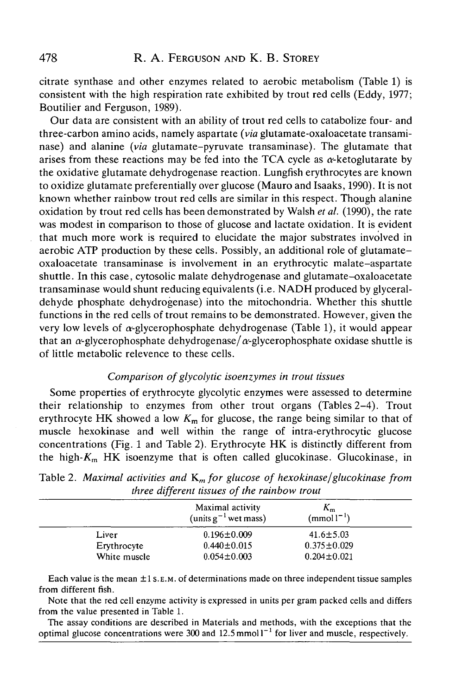citrate synthase and other enzymes related to aerobic metabolism (Table 1) is consistent with the high respiration rate exhibited by trout red cells (Eddy, 1977; Boutilier and Ferguson, 1989).

Our data are consistent with an ability of trout red cells to catabolize four- and three-carbon amino acids, namely aspartate *(via* glutamate-oxaloacetate transaminase) and alanine *(via* glutamate-pyruvate transaminase). The glutamate that arises from these reactions may be fed into the TCA cycle as  $\alpha$ -ketoglutarate by the oxidative glutamate dehydrogenase reaction. Lungfish erythrocytes are known to oxidize glutamate preferentially over glucose (Mauro and Isaaks, 1990). It is not known whether rainbow trout red cells are similar in this respect. Though alanine oxidation by trout red cells has been demonstrated by Walsh *et al.* (1990), the rate was modest in comparison to those of glucose and lactate oxidation. It is evident that much more work is required to elucidate the major substrates involved in aerobic ATP production by these cells. Possibly, an additional role of glutamateoxaloacetate transaminase is involvement in an erythrocytic malate-aspartate shuttle. In this case, cytosolic malate dehydrogenase and glutamate-oxaloacetate transaminase would shunt reducing equivalents (i.e. NADH produced by glyceraldehyde phosphate dehydrogenase) into the mitochondria. Whether this shuttle functions in the red cells of trout remains to be demonstrated. However, given the very low levels of  $\alpha$ -glycerophosphate dehydrogenase (Table 1), it would appear that an  $\alpha$ -glycerophosphate dehydrogenase/ $\alpha$ -glycerophosphate oxidase shuttle is of little metabolic relevence to these cells.

### *Comparison of glycolytic isoenzymes in trout tissues*

Some properties of erythrocyte glycolytic enzymes were assessed to determine their relationship to enzymes from other trout organs (Tables 2-4). Trout erythrocyte HK showed a low  $K<sub>m</sub>$  for glucose, the range being similar to that of muscle hexokinase and well within the range of intra-erythrocytic glucose concentrations (Fig. 1 and Table 2). Erythrocyte HK is distinctly different from the high- $K<sub>m</sub>$  HK isoenzyme that is often called glucokinase. Glucokinase, in

|              | Maximal activity<br>(units $g^{-1}$ wet mass) | $K_{\rm m}$<br>$(mmol1^{-1})$ |
|--------------|-----------------------------------------------|-------------------------------|
| Liver        | $0.196 \pm 0.009$                             | $41.6 \pm 5.03$               |
| Erythrocyte  | $0.440 \pm 0.015$                             | $0.375 \pm 0.029$             |
| White muscle | $0.054 \pm 0.003$                             | $0.204 \pm 0.021$             |

Table 2. *Maximal activities and Km for glucose of hexokinase/glucokinase from three different tissues of the rainbow trout*

Each value is the mean ±1 S.E.M. of determinations made on three independent tissue samples from different fish.

Note that the red cell enzyme activity is expressed in units per gram packed cells and differs from the value presented in Table 1.

The assay conditions are described in Materials and methods, with the exceptions that the optimal glucose concentrations were 300 and 12.5 mmol<sup>1-1</sup> for liver and muscle, respectively.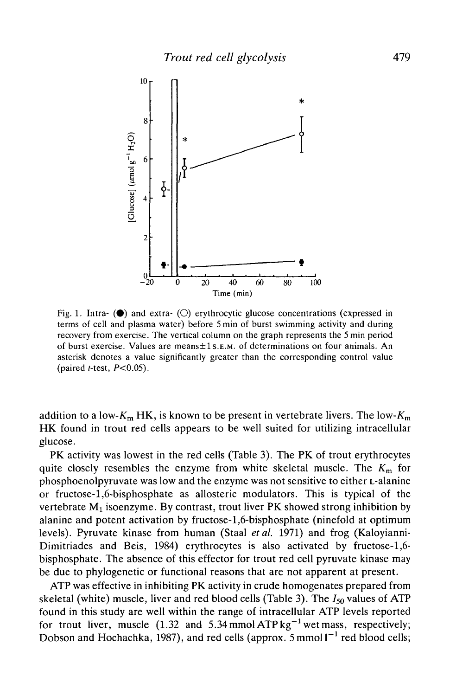

Fig. 1. Intra- $\circledbullet$  and extra- $\circledcirc$  erythrocytic glucose concentrations (expressed in terms of cell and plasma water) before 5 min of burst swimming activity and during recovery from exercise. The vertical column on the graph represents the 5 min period of burst exercise. Values are means±ls.E.M. of determinations on four animals. An asterisk denotes a value significantly greater than the corresponding control value (paired *t-test,* P<0.05).

addition to a low- $K_m$  HK, is known to be present in vertebrate livers. The low- $K_m$ HK found in trout red cells appears to be well suited for utilizing intracellular glucose.

PK activity was lowest in the red cells (Table 3). The PK of trout erythrocytes quite closely resembles the enzyme from white skeletal muscle. The *Km* for phosphoenolpyruvate was low and the enzyme was not sensitive to either L-alanine or fructose-1,6-bisphosphate as allosteric modulators. This is typical of the vertebrate M<sub>1</sub> isoenzyme. By contrast, trout liver PK showed strong inhibition by alanine and potent activation by fructose-1,6-bisphosphate (ninefold at optimum levels). Pyruvate kinase from human (Staal *etal.* 1971) and frog (Kaloyianni-Dimitriades and Beis, 1984) erythrocytes is also activated by fructose-1,6 bisphosphate. The absence of this effector for trout red cell pyruvate kinase may be due to phylogenetic or functional reasons that are not apparent at present.

ATP was effective in inhibiting PK activity in crude homogenates prepared from skeletal (white) muscle, liver and red blood cells (Table 3). The  $I_{50}$  values of ATP found in this study are well within the range of intracellular ATP levels reported for trout liver, muscle (1.32 and 5.34 mmol  $ATPkg^{-1}$  wet mass, respectively; Dobson and Hochachka, 1987), and red cells (approx.  $5 \text{ mmol} 1^{-1}$  red blood cells;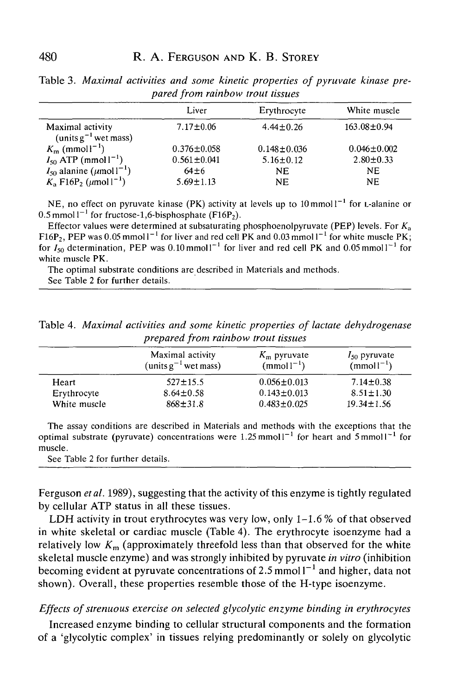|                                                       | Liver             | Erythrocyte       | White muscle      |
|-------------------------------------------------------|-------------------|-------------------|-------------------|
| Maximal activity<br>(units $g^{-1}$ wet mass)         | $7.17 \pm 0.06$   | $4.44 + 0.26$     | $163.08 \pm 0.94$ |
| $K_{\rm m}$ (mmoll <sup>-1</sup> )                    | $0.376 \pm 0.058$ | $0.148 \pm 0.036$ | $0.046 \pm 0.002$ |
| $I_{50}$ ATP (mmol $1^{-1}$ )                         | $0.561 \pm 0.041$ | $5.16 \pm 0.12$   | $2.80 \pm 0.33$   |
| $I_{50}$ alanine ( $\mu$ mol $1^{-1}$ )               | $64+6$            | NF.               | <b>NE</b>         |
| $K_a$ F16P <sub>2</sub> ( $\mu$ mol l <sup>-1</sup> ) | $5.69 \pm 1.13$   | <b>NE</b>         | NF.               |

Table 3. *Maximal activities and some kinetic properties of pyruvate kinase prepared from rainbow trout tissues*

NE, no effect on pyruvate kinase (PK) activity at levels up to  $10 \text{ mmol}1^{-1}$  for L-alanine or  $0.5$  mmol  $1^{-1}$  for fructose-1,6-bisphosphate (F16P<sub>2</sub>).

Effector values were determined at subsaturating phosphoenolpyruvate (PEP) levels. For *Ka* F16P<sub>2</sub>, PEP was 0.05 mmol  $1^{-1}$  for liver and red cell PK and 0.03 mmol  $1^{-1}$  for white muscle PK; for  $I_{50}$  determination, PEP was 0.10 mmol  $I^{-1}$  for liver and red cell PK and 0.05 mmol  $I^{-1}$  for white muscle PK.

The optimal substrate conditions are described in Materials and methods. See Table 2 for further details.

Table 4. *Maximal activities and some kinetic properties of lactate dehydrogenase prepared from rainbow trout tissues*

|              | Maximal activity<br>(units $g^{-1}$ wet mass) | $K_{\rm m}$ pyruvate<br>$(mmol)^{-1}$ | $I_{50}$ pyruvate<br>$(mmol-1)$ |
|--------------|-----------------------------------------------|---------------------------------------|---------------------------------|
| Heart        | $527 \pm 15.5$                                | $0.056 \pm 0.013$                     | $7.14 \pm 0.38$                 |
| Erythrocyte  | $8.64 \pm 0.58$                               | $0.143 \pm 0.013$                     | $8.51 \pm 1.30$                 |
| White muscle | $868 \pm 31.8$                                | $0.483 \pm 0.025$                     | $19.34 \pm 1.56$                |

The assay conditions are described in Materials and methods with the exceptions that the optimal substrate (pyruvate) concentrations were 1.25 mmol  $I^{-1}$  for heart and 5 mmol  $I^{-1}$  for muscle.

See Table 2 for further details.

Ferguson *etal.* 1989), suggesting that the activity of this enzyme is tightly regulated by cellular ATP status in all these tissues.

LDH activity in trout erythrocytes was very low, only  $1\n-1.6\%$  of that observed in white skeletal or cardiac muscle (Table 4). The erythrocyte isoenzyme had a relatively low  $K_m$  (approximately threefold less than that observed for the white skeletal muscle enzyme) and was strongly inhibited by pyruvate *in vitro* (inhibition becoming evident at pyruvate concentrations of 2.5 mmol  $1^{-1}$  and higher, data not shown). Overall, these properties resemble those of the H-type isoenzyme.

### *Effects of strenuous exercise on selected glycolytic enzyme binding in erythrocytes*

Increased enzyme binding to cellular structural components and the formation of a 'glycolytic complex' in tissues relying predominantly or solely on glycolytic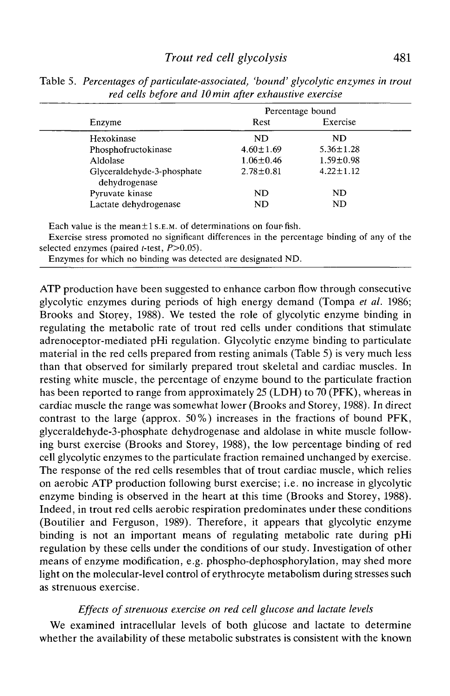|                                             | Percentage bound |                 |  |
|---------------------------------------------|------------------|-----------------|--|
| Enzyme                                      | Rest             | Exercise        |  |
| Hexokinase                                  | ND               | ND.             |  |
| Phosphofructokinase                         | $4.60 \pm 1.69$  | $5.36 \pm 1.28$ |  |
| Aldolase                                    | $1.06 \pm 0.46$  | $1.59 \pm 0.98$ |  |
| Glyceraldehyde-3-phosphate<br>dehydrogenase | $2.78 \pm 0.81$  | $4.22 \pm 1.12$ |  |
| Pyruvate kinase                             | ND               | ND              |  |
| Lactate dehydrogenase                       | ND               | ND              |  |

Table 5. *Percentages of paniculate-associated, 'bound' glycolytic enzymes in trout red cells before and lOmin after exhaustive exercise*

Each value is the mean $\pm$ 1 s.E.M. of determinations on four fish.

Exercise stress promoted no significant differences in the percentage binding of any of the selected enzymes (paired *-test,*  $P > 0.05$ *).* 

Enzymes for which no binding was detected are designated ND.

ATP production have been suggested to enhance carbon flow through consecutive glycolytic enzymes during periods of high energy demand (Tompa *et al.* 1986; Brooks and Storey, 1988). We tested the role of glycolytic enzyme binding in regulating the metabolic rate of trout red cells under conditions that stimulate adrenoceptor-mediated pHi regulation. Glycolytic enzyme binding to paniculate material in the red cells prepared from resting animals (Table 5) is very much less than that observed for similarly prepared trout skeletal and cardiac muscles. In resting white muscle, the percentage of enzyme bound to the particulate fraction has been reported to range from approximately 25 (LDH) to 70 (PFK), whereas in cardiac muscle the range was somewhat lower (Brooks and Storey, 1988). In direct contrast to the large (approx. 50%) increases in the fractions of bound PFK, glyceraldehyde-3-phosphate dehydrogenase and aldolase in white muscle following burst exercise (Brooks and Storey, 1988), the low percentage binding of red cell glycolytic enzymes to the particulate fraction remained unchanged by exercise. The response of the red cells resembles that of trout cardiac muscle, which relies on aerobic ATP production following burst exercise; i.e. no increase in glycolytic enzyme binding is observed in the heart at this time (Brooks and Storey, 1988). Indeed, in trout red cells aerobic respiration predominates under these conditions (Boutilier and Ferguson, 1989). Therefore, it appears that glycolytic enzyme binding is not an important means of regulating metabolic rate during pHi regulation by these cells under the conditions of our study. Investigation of other means of enzyme modification, e.g. phospho-dephosphorylation, may shed more light on the molecular-level control of erythrocyte metabolism during stresses such as strenuous exercise.

### *Effects of strenuous exercise on red cell glucose and lactate levels*

We examined intracellular levels of both glucose and lactate to determine whether the availability of these metabolic substrates is consistent with the known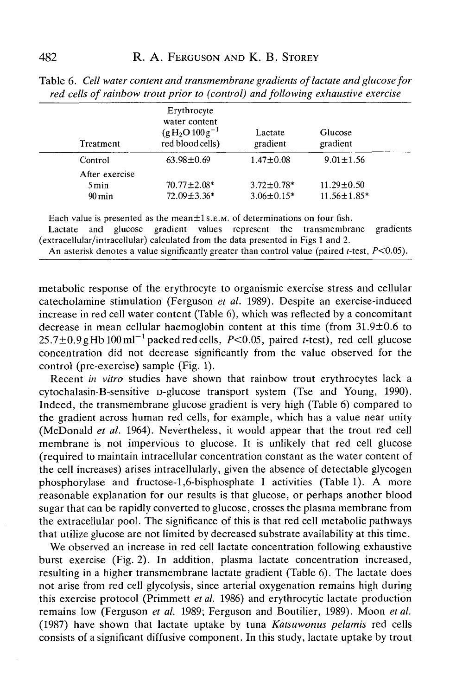| Treatment           | Erythrocyte<br>water content<br>$(g H2O 100 g-1$<br>red blood cells) | Lactate<br>gradient | Glucose<br>gradient |  |
|---------------------|----------------------------------------------------------------------|---------------------|---------------------|--|
| Control             | $63.98 \pm 0.69$                                                     | $1.47 \pm 0.08$     | $9.01 \pm 1.56$     |  |
| After exercise      |                                                                      |                     |                     |  |
| 5 min               | $70.77 \pm 2.08*$                                                    | $3.72 \pm 0.78*$    | $11.29 \pm 0.50$    |  |
| $90 \,\mathrm{min}$ | 72.09±3.36*                                                          | $3.06 \pm 0.15*$    | $11.56 \pm 1.85*$   |  |

Table 6. *Cell water content and transmembrane gradients oflactate and glucose for red cells of rainbow trout prior to (control) and following exhaustive exercise*

Each value is presented as the mean $\pm 1$  s. E.M. of determinations on four fish.

Lactate and glucose gradient values represent the transmembrane gradients (extracellular/intracellular) calculated from the data presented in Figs 1 and 2.

An asterisk denotes a value significantly greater than control value (paired  $t$ -test,  $P<0.05$ ).

metabolic response of the erythrocyte to organismic exercise stress and cellular catecholamine stimulation (Ferguson *et al.* 1989). Despite an exercise-induced increase in red cell water content (Table 6), which was reflected by a concomitant decrease in mean cellular haemoglobin content at this time (from 31.9±0.6 to  $25.7\pm0.9$  gHb  $100$  ml<sup>-1</sup> packed red cells, *P*<0.05, paired *t*-test), red cell glucose concentration did not decrease significantly from the value observed for the control (pre-exercise) sample (Fig. 1).

Recent *in vitro* studies have shown that rainbow trout erythrocytes lack a cytochalasin-B-sensitive D-glucose transport system (Tse and Young, 1990). Indeed, the transmembrane glucose gradient is very high (Table 6) compared to the gradient across human red cells, for example, which has a value near unity (McDonald *et al.* 1964). Nevertheless, it would appear that the trout red cell membrane is not impervious to glucose. It is unlikely that red cell glucose (required to maintain intracellular concentration constant as the water content of the cell increases) arises intracellularly, given the absence of detectable glycogen phosphorylase and fructose-l,6-bisphosphate I activities (Table 1). A more reasonable explanation for our results is that glucose, or perhaps another blood sugar that can be rapidly converted to glucose, crosses the plasma membrane from the extracellular pool. The significance of this is that red cell metabolic pathways that utilize glucose are not limited by decreased substrate availability at this time.

We observed an increase in red cell lactate concentration following exhaustive burst exercise (Fig. 2). In addition, plasma lactate concentration increased, resulting in a higher transmembrane lactate gradient (Table 6). The lactate does not arise from red cell glycolysis, since arterial oxygenation remains high during this exercise protocol (Primmett *et al.* 1986) and erythrocytic lactate production remains low (Ferguson *et al.* 1989; Ferguson and Boutilier, 1989). Moon *et al.* (1987) have shown that lactate uptake by tuna *Katsuwonus pelamis* red cells consists of a significant diffusive component. In this study, lactate uptake by trout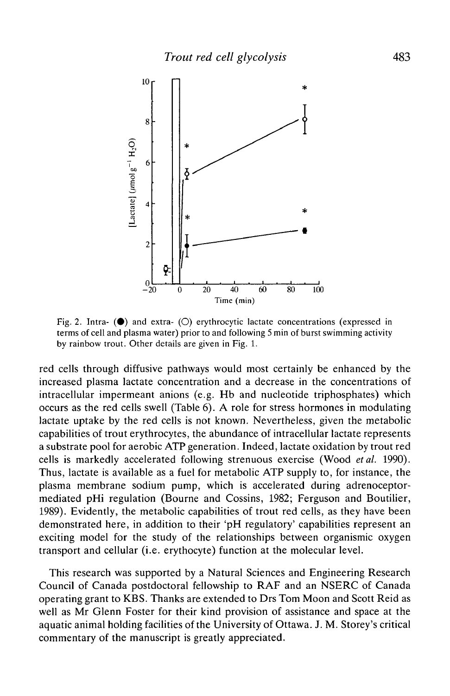

Fig. 2. Intra-  $(\bullet)$  and extra-  $(\circ)$  erythrocytic lactate concentrations (expressed in terms of cell and plasma water) prior to and following 5 min of burst swimming activity by rainbow trout. Other details are given in Fig. 1.

red cells through diffusive pathways would most certainly be enhanced by the increased plasma lactate concentration and a decrease in the concentrations of intracellular impermeant anions (e.g. Hb and nucleotide triphosphates) which occurs as the red cells swell (Table 6). A role for stress hormones in modulating lactate uptake by the red cells is not known. Nevertheless, given the metabolic capabilities of trout erythrocytes, the abundance of intracellular lactate represents a substrate pool for aerobic ATP generation. Indeed, lactate oxidation by trout red cells is markedly accelerated following strenuous exercise (Wood *etal.* 1990). Thus, lactate is available as a fuel for metabolic ATP supply to, for instance, the plasma membrane sodium pump, which is accelerated during adrenoceptormediated pHi regulation (Bourne and Cossins, 1982; Ferguson and Boutilier, 1989). Evidently, the metabolic capabilities of trout red cells, as they have been demonstrated here, in addition to their 'pH regulatory' capabilities represent an exciting model for the study of the relationships between organismic oxygen transport and cellular (i.e. erythocyte) function at the molecular level.

This research was supported by a Natural Sciences and Engineering Research Council of Canada postdoctoral fellowship to RAF and an NSERC of Canada operating grant to KBS. Thanks are extended to Drs Tom Moon and Scott Reid as well as Mr Glenn Foster for their kind provision of assistance and space at the aquatic animal holding facilities of the University of Ottawa. J. M. Storey's critical commentary of the manuscript is greatly appreciated.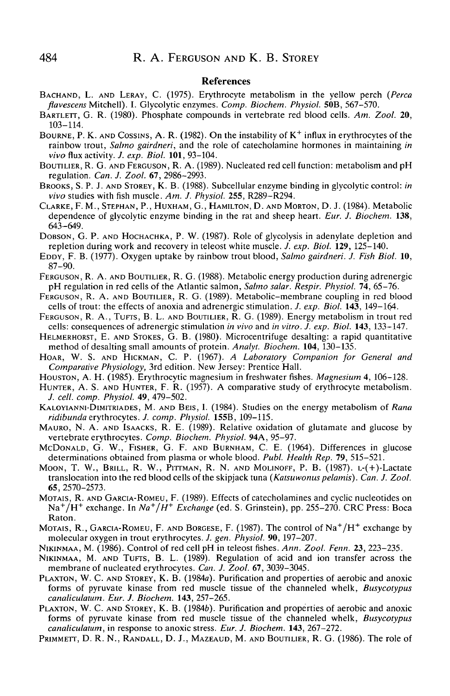#### References

- BACHAND, L. AND LERAY, C. (1975). Erythrocyte metabolism in the yellow perch *(Perca flavescens* Mitchell). I. Glycolytic enzymes. *Comp. Biochem. Physiol.* **50B,** 567-570.
- BARTLETT, G. R. (1980). Phosphate compounds in vertebrate red blood cells. *Am. Zool.* 20, 103-114.
- BOURNE, P. K. AND COSSINS, A. R. (1982). On the instability of  $K^+$  influx in erythrocytes of the rainbow trout, *Salmo gairdneri,* and the role of catecholamine hormones in maintaining *in vivo* flux activity. *J. exp. Biol.* **101,** 93-104.
- BOUTILIER, R. G. AND FERGUSON, R. A. (1989). Nucleated red cell function: metabolism and pH regulation. *Can. J. Zool.* 67, 2986-2993.
- BROOKS, S. P. J. AND STOREY, K. B. (1988). Subcellular enzyme binding in glycolytic control: *in vivo* studies with fish muscle. *Am. J. Physiol.* **255,** R289-R294.
- CLARKE, F. M., STEPHAN, P., HUXHAM, G., HAMILTON, D. AND MORTON, D. J. (1984). Metabolic dependence of glycolytic enzyme binding in the rat and sheep heart. *Eur. J. Biochem.* **138,** 643-649.
- DOBSON, G. P. AND HOCHACHKA, P. W. (1987). Role of glycolysis in adenylate depletion and repletion during work and recovery in teleost white muscle. *J. exp. Biol.* **129,** 125-140.
- EDDY, F. B. (1977). Oxygen uptake by rainbow trout blood, *Salmo gairdneri. J. Fish Biol.* 10, 87-90.
- FERGUSON, R. A. AND BOUTILIER, R. G. (1988). Metabolic energy production during adrenergic pH regulation in red cells of the Atlantic salmon, *Salmo salar. Respir. Physiol.* 74, 65-76.
- FERGUSON, R. A. AND BOUTILIER, R. G. (1989). Metabolic-membrane coupling in red blood cells of trout: the effects of anoxia and adrenergic stimulation. *J. exp. Biol.* **143,** 149-164.
- FERGUSON, R. A., TUFTS, B. L. AND BOUTILIER, R. G. (1989). Energy metabolism in trout red cells: consequences of adrenergic stimulation *in vivo* and *in vitro. J. exp. Biol.* **143,** 133-147.
- HELMERHORST, E. AND STOKES, G. B. (1980). Microcentrifuge desalting: a rapid quantitative method of desalting small amounts of protein. *Analyt. Biochem.* **104,** 130-135.
- HOAR, W. S. AND HICKMAN, C. P. (1967). *A Laboratory Companion for General and Comparative Physiology,* 3rd edition. New Jersey: Prentice Hall.
- HOUSTON, A. H. (1985). Erythrocytic magnesium in freshwater fishes. *Magnesium* 4, 106-128.
- HUNTER, A. S. AND HUNTER, F. R. (1957). A comparative study of erythrocyte metabolism. *J. cell. comp. Physiol.* **49,** 479-502.
- KALOYIANNI-DIMITRIADES, M. AND BEIS, I. (1984). Studies on the energy metabolism of *Rana ridibunda* erythrocytes. *J. comp. Physiol.* **155B,** 109-115.
- MAURO, N. A. AND ISAACKS, R. E. (1989). Relative oxidation of glutamate and glucose by vertebrate erythrocytes. *Comp. Biochem. Physiol.* **94A,** 95-97.
- MCDONALD, G. W., FISHER, G. F. AND BURNHAM, C. E. (1964). Differences in glucose determinations obtained from plasma or whole blood. *Publ. Health Rep.* 79, 515-521.
- MOON, T. W., BRILL, R. W., PITTMAN, R. N. AND MOLINOFF, P. B. (1987). L-(+)-Lactate translocation into the red blood cells of the skipjack tuna *(Katsuwonus pelamis). Can. J. Zool.* 65, 2570-2573.
- MOTAIS, R. AND GARCIA-ROMEU, F. (1989). Effects of catecholamines and cyclic nucleotides on Na<sup>+</sup>/H<sup>+</sup> exchange. In *Na<sup>+</sup>/H<sup>+</sup> Exchange* (ed. S. Grinstein), pp. 255–270. CRC Press: Boca Raton.
- Motais, R., Garcia-Romeu, F. and Borgese, F. (1987). The control of Na $^+/\mathrm{H}^+$  exchange by molecular oxygen in trout erythrocytes. *J. gen. Physiol.* 90, 197-207.
- NIKINMAA, M. (1986). Control of red cell pH in teleost fishes. *Ann. Zool. Fenn.* **23,** 223-235.
- NIKINMAA, M. AND TUFTS, B. L. (1989). Regulation of acid and ion transfer across the membrane of nucleated erythrocytes. *Can. J. Zool.* 67, 3039-3045.
- PLAXTON, W. C. AND STOREY, K. B. (1984a). Purification and properties of aerobic and anoxic forms of pyruvate kinase from red muscle tissue of the channeled whelk, *Busycotypus canaliculatum. Eur. J. Biochem.* **143,** 257-265.
- PLAXTON, W. C. AND STOREY, K. B. (19846). Purification and properties of aerobic and anoxic forms of pyruvate kinase from red muscle tissue of the channeled whelk, *Busycotypus canaliculatum,* in response to anoxic stress. *Eur. J. Biochem.* **143,** 267-272.
- PRIMMETT, D. R. N., RANDALL, D. J., MAZEAUD, M. AND BOUTILIER, R. G. (1986). The role of